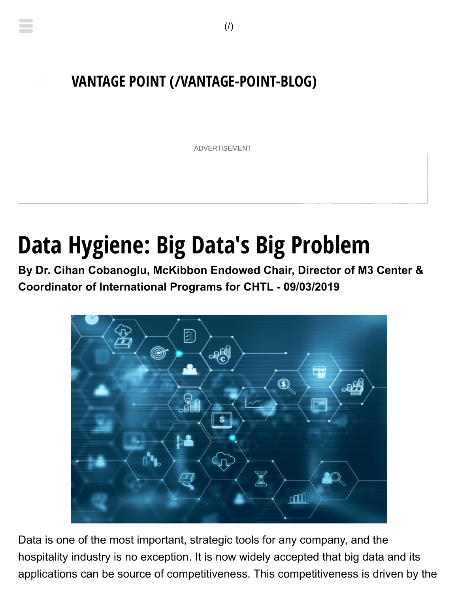## **[VANTAGE POINT \(/VANTAGE-POINT-BLOG\)](https://hospitalitytech.com/vantage-point-blog)**

ADVERTISEMENT

# **Data Hygiene: Big Data's Big Problem**

**By Dr. Cihan Cobanoglu, McKibbon Endowed Chair, Director of M3 Center & Coordinator of International Programs for CHTL - 09/03/2019**



applications can be source of competitiveness. This competitiveness is driven by the Data is one of the most important, strategic tools for any company, and the hospitality industry is no exception. It is now widely accepted that big data and its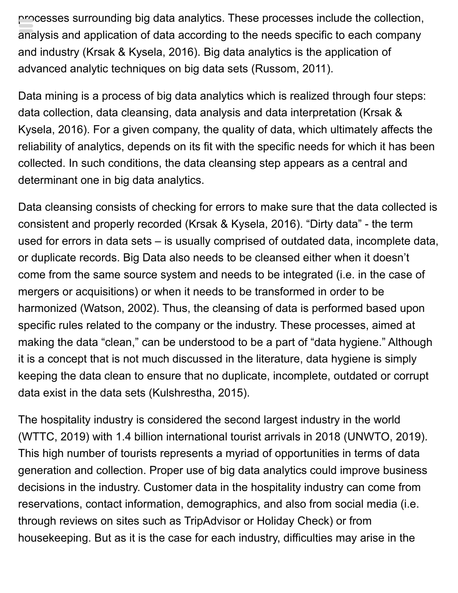processes surrounding big data analytics. These processes include the collection, analysis and application of data according to the needs specific to each company and industry (Krsak & Kysela, 2016). Big data analytics is the application of advanced analytic techniques on big data sets (Russom, 2011).

Data mining is a process of big data analytics which is realized through four steps: data collection, data cleansing, data analysis and data interpretation (Krsak & Kysela, 2016). For a given company, the quality of data, which ultimately affects the reliability of analytics, depends on its fit with the specific needs for which it has been collected. In such conditions, the data cleansing step appears as a central and determinant one in big data analytics.

Data cleansing consists of checking for errors to make sure that the data collected is consistent and properly recorded (Krsak & Kysela, 2016). "Dirty data" - the term used for errors in data sets – is usually comprised of outdated data, incomplete data, or duplicate records. Big Data also needs to be cleansed either when it doesn't come from the same source system and needs to be integrated (i.e. in the case of mergers or acquisitions) or when it needs to be transformed in order to be harmonized (Watson, 2002). Thus, the cleansing of data is performed based upon specific rules related to the company or the industry. These processes, aimed at making the data "clean," can be understood to be a part of "data hygiene." Although it is a concept that is not much discussed in the literature, data hygiene is simply keeping the data clean to ensure that no duplicate, incomplete, outdated or corrupt data exist in the data sets (Kulshrestha, 2015).

The hospitality industry is considered the second largest industry in the world (WTTC, 2019) with 1.4 billion international tourist arrivals in 2018 (UNWTO, 2019). This high number of tourists represents a myriad of opportunities in terms of data generation and collection. Proper use of big data analytics could improve business decisions in the industry. Customer data in the hospitality industry can come from reservations, contact information, demographics, and also from social media (i.e. through reviews on sites such as TripAdvisor or Holiday Check) or from housekeeping. But as it is the case for each industry, difficulties may arise in the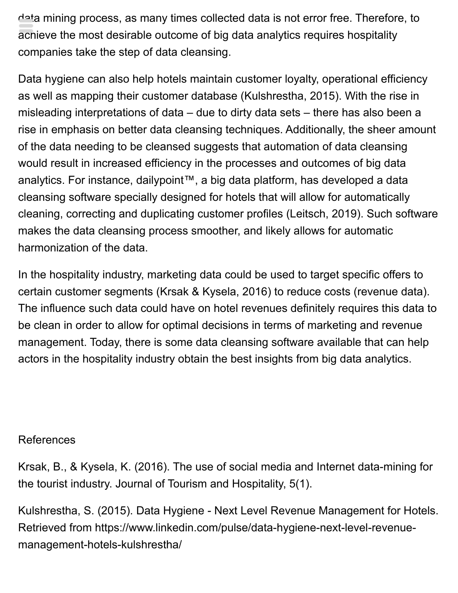data mining process, as many times collected data is not error free. Therefore, to achieve the most desirable outcome of big data analytics requires hospitality companies take the step of data cleansing.

Data hygiene can also help hotels maintain customer loyalty, operational efficiency as well as mapping their customer database (Kulshrestha, 2015). With the rise in misleading interpretations of data – due to dirty data sets – there has also been a rise in emphasis on better data cleansing techniques. Additionally, the sheer amount of the data needing to be cleansed suggests that automation of data cleansing would result in increased efficiency in the processes and outcomes of big data analytics. For instance, dailypoint™, a big data platform, has developed a data cleansing software specially designed for hotels that will allow for automatically cleaning, correcting and duplicating customer profiles (Leitsch, 2019). Such software makes the data cleansing process smoother, and likely allows for automatic harmonization of the data.

In the hospitality industry, marketing data could be used to target specific offers to certain customer segments (Krsak & Kysela, 2016) to reduce costs (revenue data). The influence such data could have on hotel revenues definitely requires this data to be clean in order to allow for optimal decisions in terms of marketing and revenue management. Today, there is some data cleansing software available that can help actors in the hospitality industry obtain the best insights from big data analytics.

#### References

Krsak, B., & Kysela, K. (2016). The use of social media and Internet data-mining for the tourist industry. Journal of Tourism and Hospitality, 5(1).

Kulshrestha, S. (2015). Data Hygiene - Next Level Revenue Management for Hotels. Retrieved from https://www.linkedin.com/pulse/data-hygiene-next-level-revenuemanagement-hotels-kulshrestha/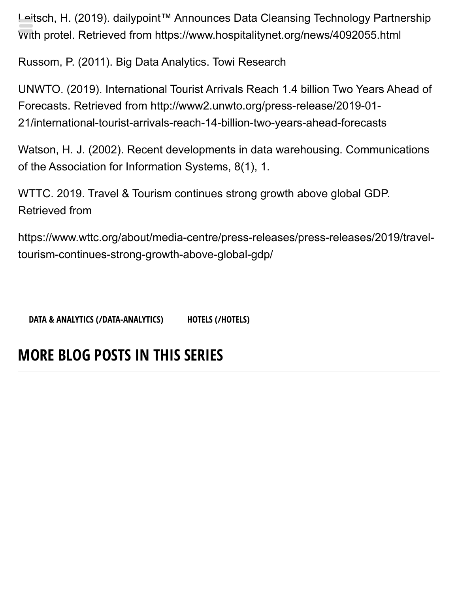Leitsch, H. (2019). dailypoint™ Announces Data Cleansing Technology Partnership With protel. Retrieved from https://www.hospitalitynet.org/news/4092055.html

Russom, P. (2011). Big Data Analytics. Towi Research

UNWTO. (2019). International Tourist Arrivals Reach 1.4 billion Two Years Ahead of Forecasts. Retrieved from http://www2.unwto.org/press-release/2019-01- 21/international-tourist-arrivals-reach-14-billion-two-years-ahead-forecasts

Watson, H. J. (2002). Recent developments in data warehousing. Communications of the Association for Information Systems, 8(1), 1.

WTTC. 2019. Travel & Tourism continues strong growth above global GDP. Retrieved from

https://www.wttc.org/about/media-centre/press-releases/press-releases/2019/traveltourism-continues-strong-growth-above-global-gdp/

**[DATA & ANALYTICS \(/DATA-ANALYTICS\)](https://hospitalitytech.com/data-analytics) [HOTELS \(/HOTELS\)](https://hospitalitytech.com/hotels)**

## **MORE BLOG POSTS IN THIS SERIES**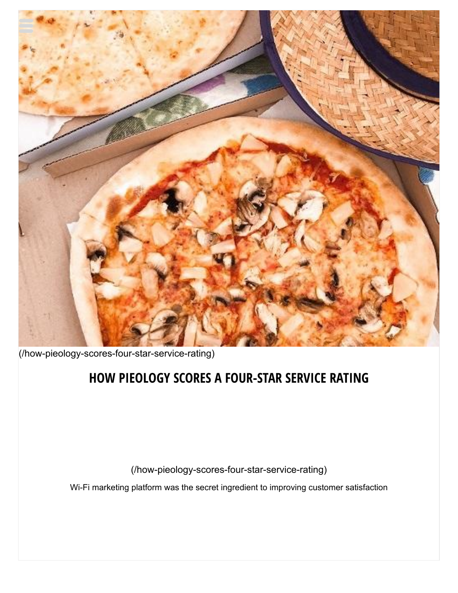

[\(/how-pieology-scores-four-star-service-rating\)](https://hospitalitytech.com/how-pieology-scores-four-star-service-rating)

#### **[HOW PIEOLOGY SCORES A FOUR-STAR SERVICE RATING](https://hospitalitytech.com/how-pieology-scores-four-star-service-rating)**

(/how-pieology-scores-four-star-service-rating)

Wi-Fi marketing platform was the secret ingredient to improving customer satisfaction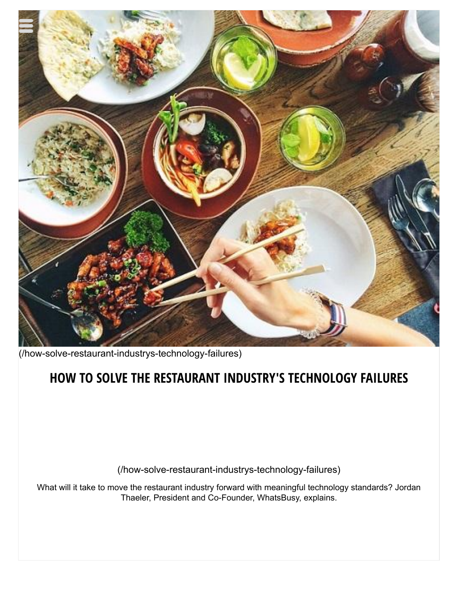

[\(/how-solve-restaurant-industrys-technology-failures\)](https://hospitalitytech.com/how-solve-restaurant-industrys-technology-failures)

#### **[HOW TO SOLVE THE RESTAURANT INDUSTRY'S TECHNOLOGY FAILURES](https://hospitalitytech.com/how-solve-restaurant-industrys-technology-failures)**

(/how-solve-restaurant-industrys-technology-failures)

What will it take to move the restaurant industry forward with meaningful technology standards? Jordan Thaeler, President and Co-Founder, WhatsBusy, explains.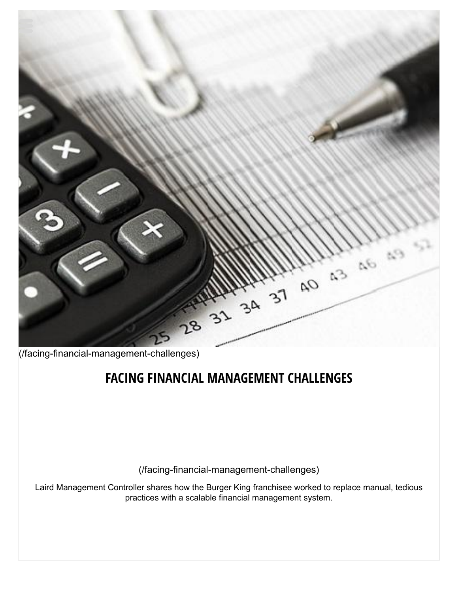

[\(/facing-financial-management-challenges\)](https://hospitalitytech.com/facing-financial-management-challenges)

#### **[FACING FINANCIAL MANAGEMENT CHALLENGES](https://hospitalitytech.com/facing-financial-management-challenges)**

(/facing-financial-management-challenges)

Laird Management Controller shares how the Burger King franchisee worked to replace manual, tedious practices with a scalable financial management system.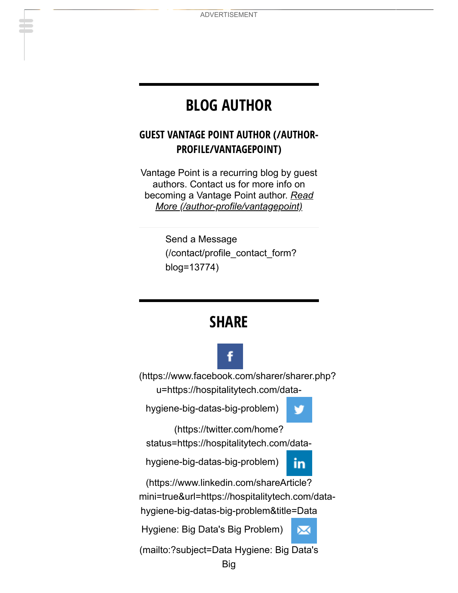## **BLOG AUTHOR**

#### **[GUEST VANTAGE POINT AUTHOR \(/AUTHOR-](https://hospitalitytech.com/author-profile/vantagepoint)PROFILE/VANTAGEPOINT)**

Vantage Point is a recurring blog by guest authors. Contact us for more info on becoming a Vantage Point author. *Read [More \(/author-profile/vantagepoint\)](https://hospitalitytech.com/author-profile/vantagepoint)*

> Send a Message [\(/contact/profile\\_contact\\_form?](https://hospitalitytech.com/contact/profile_contact_form?blog=13774) blog=13774)

#### **SHARE**



[\(https://www.facebook.com/sharer/sharer.php?](https://www.facebook.com/sharer/sharer.php?u=https://hospitalitytech.com/data-hygiene-big-datas-big-problem) u=https://hospitalitytech.com/data-

hygiene-big-datas-big-problem)



(https://twitter.com/home?

[status=https://hospitalitytech.com/data-](https://twitter.com/home?status=https://hospitalitytech.com/data-hygiene-big-datas-big-problem)

hygiene-big-datas-big-problem)



⋈

(https://www.linkedin.com/shareArticle?

[mini=true&url=https://hospitalitytech.com/data-](https://www.linkedin.com/shareArticle?mini=true&url=https://hospitalitytech.com/data-hygiene-big-datas-big-problem&title=Data%20Hygiene:%20Big%20Data%27s%20Big%20Problem)

hygiene-big-datas-big-problem&title=Data

Hygiene: Big Data's Big Problem)

[\(mailto:?subject=Data Hygiene: Big Data's](mailto:?subject=Data%20Hygiene:%20Big%20Data%27s%20Big%20Problem&body=I%20wanted%20to%20share%20this%20page%20with%20you.%20%20https://hospitalitytech.com/data-hygiene-big-datas-big-problem)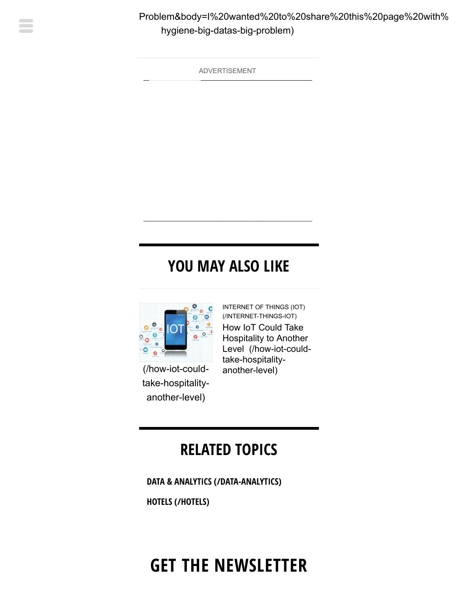

ADVERTISEMENT

## **YOU MAY ALSO LIKE**



(/how-iot-could[take-hospitality](https://hospitalitytech.com/how-iot-could-take-hospitality-another-level)another-level)

[INTERNET OF THINGS \(IOT\)](https://hospitalitytech.com/internet-things-iot) (/INTERNET-THINGS-IOT) How IoT Could Take Hospitality to Another [Level \(/how-iot-could](https://hospitalitytech.com/how-iot-could-take-hospitality-another-level)take-hospitalityanother-level)

## **RELATED TOPICS**

**[DATA & ANALYTICS \(/DATA-ANALYTICS\)](https://hospitalitytech.com/data-analytics)**

**[HOTELS \(/HOTELS\)](https://hospitalitytech.com/hotels)**

# **GET THE NEWSLETTER**